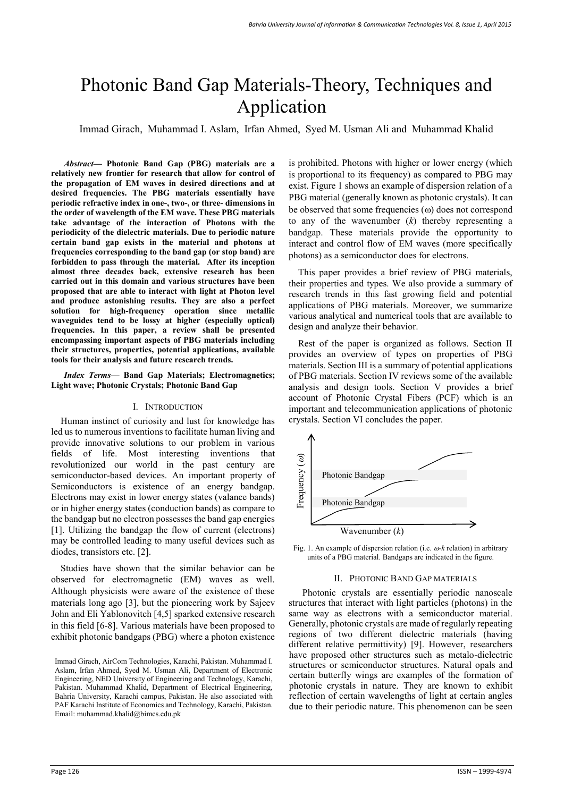# Photonic Band Gap Materials-Theory, Techniques and Application

Immad Girach, Muhammad I. Aslam, Irfan Ahmed, Syed M. Usman Ali and Muhammad Khalid

*Abstract***— Photonic Band Gap (PBG) materials are a relatively new frontier for research that allow for control of the propagation of EM waves in desired directions and at desired frequencies. The PBG materials essentially have periodic refractive index in one-, two-, or three- dimensions in the order of wavelength of the EM wave. These PBG materials take advantage of the interaction of Photons with the periodicity of the dielectric materials. Due to periodic nature certain band gap exists in the material and photons at frequencies corresponding to the band gap (or stop band) are forbidden to pass through the material. After its inception almost three decades back, extensive research has been carried out in this domain and various structures have been proposed that are able to interact with light at Photon level and produce astonishing results. They are also a perfect solution for high-frequency operation since metallic waveguides tend to be lossy at higher (especially optical) frequencies. In this paper, a review shall be presented encompassing important aspects of PBG materials including their structures, properties, potential applications, available tools for their analysis and future research trends.** 

*Index Terms***— Band Gap Materials; Electromagnetics; Light wave; Photonic Crystals; Photonic Band Gap** 

#### I. INTRODUCTION

Human instinct of curiosity and lust for knowledge has led us to numerous inventions to facilitate human living and provide innovative solutions to our problem in various fields of life. Most interesting inventions that revolutionized our world in the past century are semiconductor-based devices. An important property of Semiconductors is existence of an energy bandgap. Electrons may exist in lower energy states (valance bands) or in higher energy states (conduction bands) as compare to the bandgap but no electron possesses the band gap energies [1]. Utilizing the bandgap the flow of current (electrons) may be controlled leading to many useful devices such as diodes, transistors etc. [2].

Studies have shown that the similar behavior can be observed for electromagnetic (EM) waves as well. Although physicists were aware of the existence of these materials long ago [3], but the pioneering work by Sajeev John and Eli Yablonovitch [4,5] sparked extensive research in this field [6-8]. Various materials have been proposed to exhibit photonic bandgaps (PBG) where a photon existence

is prohibited. Photons with higher or lower energy (which is proportional to its frequency) as compared to PBG may exist. Figure 1 shows an example of dispersion relation of a PBG material (generally known as photonic crystals). It can be observed that some frequencies  $(\omega)$  does not correspond to any of the wavenumber (*k*) thereby representing a bandgap. These materials provide the opportunity to interact and control flow of EM waves (more specifically photons) as a semiconductor does for electrons.

This paper provides a brief review of PBG materials, their properties and types. We also provide a summary of research trends in this fast growing field and potential applications of PBG materials. Moreover, we summarize various analytical and numerical tools that are available to design and analyze their behavior.

Rest of the paper is organized as follows. Section II provides an overview of types on properties of PBG materials. Section III is a summary of potential applications of PBG materials. Section IV reviews some of the available analysis and design tools. Section V provides a brief account of Photonic Crystal Fibers (PCF) which is an important and telecommunication applications of photonic crystals. Section VI concludes the paper.





#### II. PHOTONIC BAND GAP MATERIALS

Photonic crystals are essentially periodic nanoscale structures that interact with light particles (photons) in the same way as electrons with a semiconductor material. Generally, photonic crystals are made of regularly repeating regions of two different dielectric materials (having different relative permittivity) [9]. However, researchers have proposed other structures such as metalo-dielectric structures or semiconductor structures. Natural opals and certain butterfly wings are examples of the formation of photonic crystals in nature. They are known to exhibit reflection of certain wavelengths of light at certain angles due to their periodic nature. This phenomenon can be seen

Immad Girach, AirCom Technologies, Karachi, Pakistan. Muhammad I. Aslam, Irfan Ahmed, Syed M. Usman Ali, Department of Electronic Engineering, NED University of Engineering and Technology, Karachi, Pakistan. Muhammad Khalid, Department of Electrical Engineering, Bahria University, Karachi campus, Pakistan. He also associated with PAF Karachi Institute of Economics and Technology, Karachi, Pakistan. Email: muhammad.khalid@bimcs.edu.pk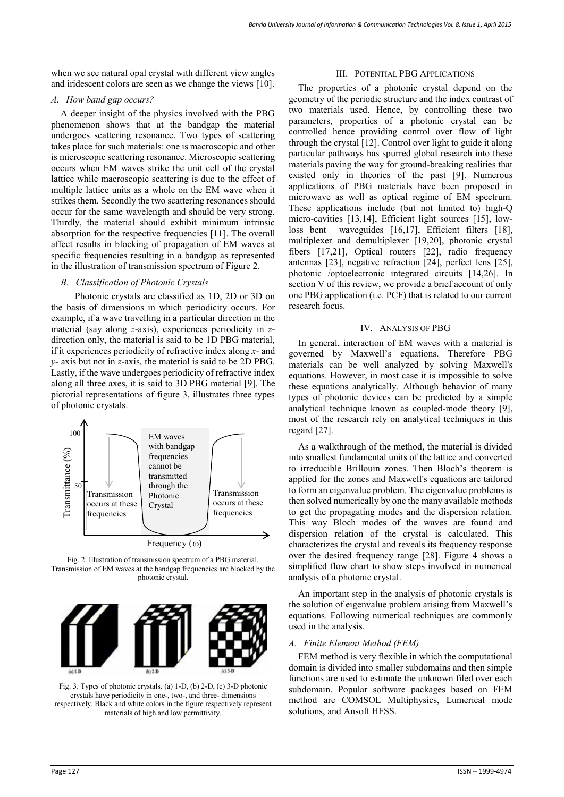when we see natural opal crystal with different view angles and iridescent colors are seen as we change the views [10].

# *A. How band gap occurs?*

A deeper insight of the physics involved with the PBG phenomenon shows that at the bandgap the material undergoes scattering resonance. Two types of scattering takes place for such materials: one is macroscopic and other is microscopic scattering resonance. Microscopic scattering occurs when EM waves strike the unit cell of the crystal lattice while macroscopic scattering is due to the effect of multiple lattice units as a whole on the EM wave when it strikes them. Secondly the two scattering resonances should occur for the same wavelength and should be very strong. Thirdly, the material should exhibit minimum intrinsic absorption for the respective frequencies [11]. The overall affect results in blocking of propagation of EM waves at specific frequencies resulting in a bandgap as represented in the illustration of transmission spectrum of Figure 2.

# *B. Classification of Photonic Crystals*

 Photonic crystals are classified as 1D, 2D or 3D on the basis of dimensions in which periodicity occurs. For example, if a wave travelling in a particular direction in the material (say along *z*-axis), experiences periodicity in *z*direction only, the material is said to be 1D PBG material, if it experiences periodicity of refractive index along *x-* and *y-* axis but not in *z*-axis, the material is said to be 2D PBG. Lastly, if the wave undergoes periodicity of refractive index along all three axes, it is said to 3D PBG material [9]. The pictorial representations of figure 3, illustrates three types of photonic crystals.



Frequency  $(\omega)$ 

Fig. 2. Illustration of transmission spectrum of a PBG material. Transmission of EM waves at the bandgap frequencies are blocked by the photonic crystal.



Fig. 3. Types of photonic crystals. (a) 1-D, (b) 2-D, (c) 3-D photonic crystals have periodicity in one-, two-, and three- dimensions respectively. Black and white colors in the figure respectively represent materials of high and low permittivity.

## III. POTENTIAL PBG APPLICATIONS

The properties of a photonic crystal depend on the geometry of the periodic structure and the index contrast of two materials used. Hence, by controlling these two parameters, properties of a photonic crystal can be controlled hence providing control over flow of light through the crystal [12]. Control over light to guide it along particular pathways has spurred global research into these materials paving the way for ground-breaking realities that existed only in theories of the past [9]. Numerous applications of PBG materials have been proposed in microwave as well as optical regime of EM spectrum. These applications include (but not limited to) high-Q micro-cavities [13,14], Efficient light sources [15], lowloss bent waveguides [16,17], Efficient filters [18], multiplexer and demultiplexer [19,20], photonic crystal fibers [17,21], Optical routers [22], radio frequency antennas [23], negative refraction [24], perfect lens [25], photonic /optoelectronic integrated circuits [14,26]. In section V of this review, we provide a brief account of only one PBG application (i.e. PCF) that is related to our current research focus.

# IV. ANALYSIS OF PBG

In general, interaction of EM waves with a material is governed by Maxwell's equations. Therefore PBG materials can be well analyzed by solving Maxwell's equations. However, in most case it is impossible to solve these equations analytically. Although behavior of many types of photonic devices can be predicted by a simple analytical technique known as coupled-mode theory [9], most of the research rely on analytical techniques in this regard [27].

As a walkthrough of the method, the material is divided into smallest fundamental units of the lattice and converted to irreducible Brillouin zones. Then Bloch's theorem is applied for the zones and Maxwell's equations are tailored to form an eigenvalue problem. The eigenvalue problems is then solved numerically by one the many available methods to get the propagating modes and the dispersion relation. This way Bloch modes of the waves are found and dispersion relation of the crystal is calculated. This characterizes the crystal and reveals its frequency response over the desired frequency range [28]. Figure 4 shows a simplified flow chart to show steps involved in numerical analysis of a photonic crystal.

An important step in the analysis of photonic crystals is the solution of eigenvalue problem arising from Maxwell's equations. Following numerical techniques are commonly used in the analysis.

## *A. Finite Element Method (FEM)*

FEM method is very flexible in which the computational domain is divided into smaller subdomains and then simple functions are used to estimate the unknown filed over each subdomain. Popular software packages based on FEM method are COMSOL Multiphysics, Lumerical mode solutions, and Ansoft HFSS.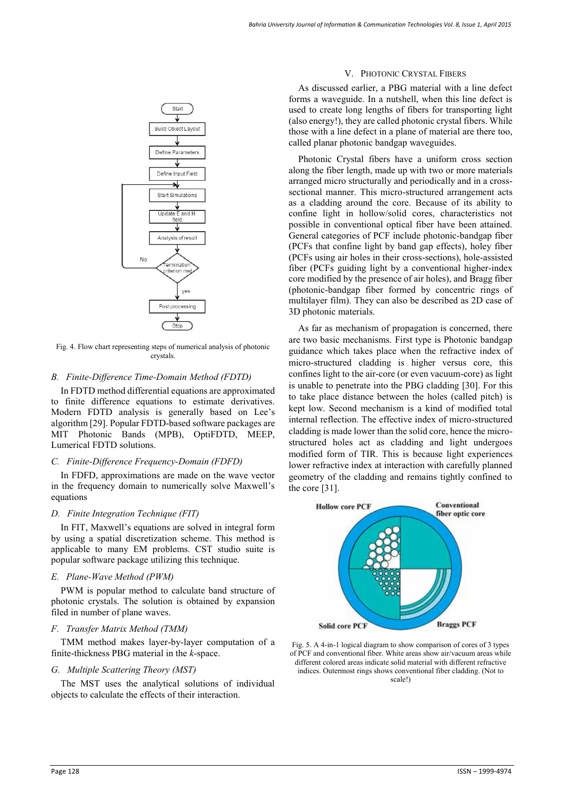

Fig. 4. Flow chart representing steps of numerical analysis of photonic crystals.

## *B. Finite-Difference Time-Domain Method (FDTD)*

In FDTD method differential equations are approximated to finite difference equations to estimate derivatives. Modern FDTD analysis is generally based on Lee's algorithm [29]. Popular FDTD-based software packages are MIT Photonic Bands (MPB), OptiFDTD, MEEP, Lumerical FDTD solutions.

## *C. Finite-Difference Frequency-Domain (FDFD)*

In FDFD, approximations are made on the wave vector in the frequency domain to numerically solve Maxwell's equations

## *D. Finite Integration Technique (FIT)*

In FIT, Maxwell's equations are solved in integral form by using a spatial discretization scheme. This method is applicable to many EM problems. CST studio suite is popular software package utilizing this technique.

## *E. Plane-Wave Method (PWM)*

PWM is popular method to calculate band structure of photonic crystals. The solution is obtained by expansion filed in number of plane waves.

## *F. Transfer Matrix Method (TMM)*

TMM method makes layer-by-layer computation of a finite-thickness PBG material in the *k*-space.

## *G. Multiple Scattering Theory (MST)*

The MST uses the analytical solutions of individual objects to calculate the effects of their interaction.

## V. PHOTONIC CRYSTAL FIBERS

As discussed earlier, a PBG material with a line defect forms a waveguide. In a nutshell, when this line defect is used to create long lengths of fibers for transporting light (also energy!), they are called photonic crystal fibers. While those with a line defect in a plane of material are there too, called planar photonic bandgap waveguides.

Photonic Crystal fibers have a uniform cross section along the fiber length, made up with two or more materials arranged micro structurally and periodically and in a crosssectional manner. This micro-structured arrangement acts as a cladding around the core. Because of its ability to confine light in hollow/solid cores, characteristics not possible in conventional optical fiber have been attained. General categories of PCF include photonic-bandgap fiber (PCFs that confine light by band gap effects), holey fiber (PCFs using air holes in their cross-sections), hole-assisted fiber (PCFs guiding light by a conventional higher-index core modified by the presence of air holes), and Bragg fiber (photonic-bandgap fiber formed by concentric rings of multilayer film). They can also be described as 2D case of 3D photonic materials.

As far as mechanism of propagation is concerned, there are two basic mechanisms. First type is Photonic bandgap guidance which takes place when the refractive index of micro-structured cladding is higher versus core, this confines light to the air-core (or even vacuum-core) as light is unable to penetrate into the PBG cladding [30]. For this to take place distance between the holes (called pitch) is kept low. Second mechanism is a kind of modified total internal reflection. The effective index of micro-structured cladding is made lower than the solid core, hence the microstructured holes act as cladding and light undergoes modified form of TIR. This is because light experiences lower refractive index at interaction with carefully planned geometry of the cladding and remains tightly confined to the core [31].



Fig. 5. A 4-in-1 logical diagram to show comparison of cores of 3 types of PCF and conventional fiber. White areas show air/vacuum areas while different colored areas indicate solid material with different refractive indices. Outermost rings shows conventional fiber cladding. (Not to scale!)